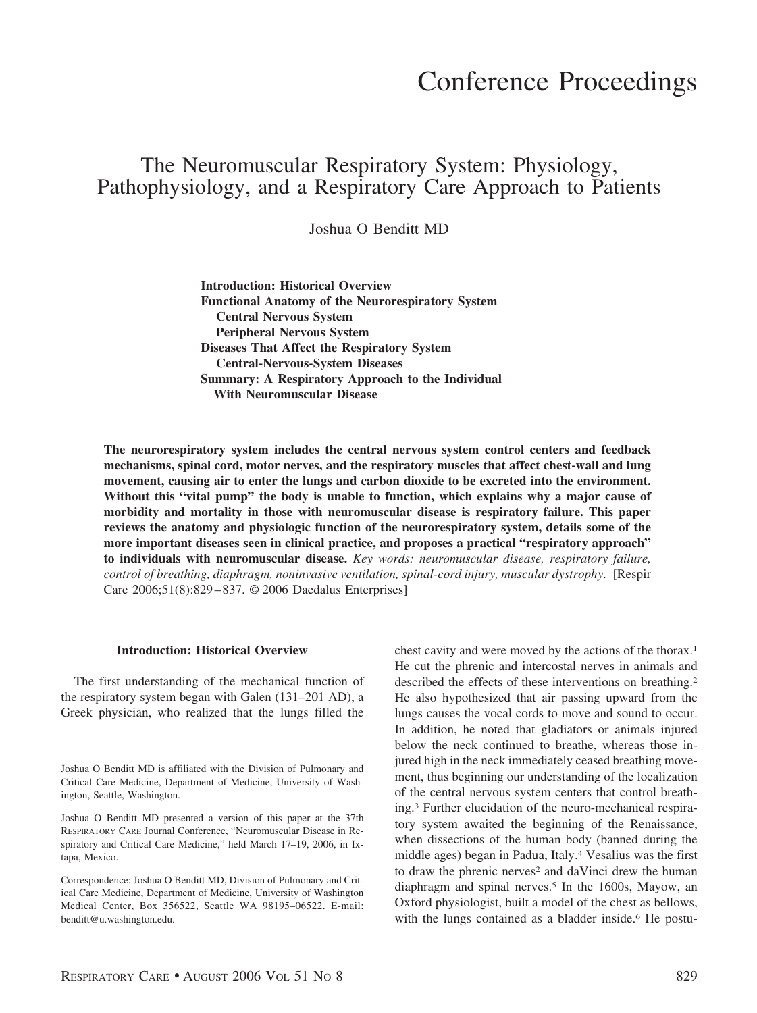# The Neuromuscular Respiratory System: Physiology, Pathophysiology, and a Respiratory Care Approach to Patients

Joshua O Benditt MD

**Introduction: Historical Overview Functional Anatomy of the Neurorespiratory System Central Nervous System Peripheral Nervous System Diseases That Affect the Respiratory System Central-Nervous-System Diseases Summary: A Respiratory Approach to the Individual With Neuromuscular Disease**

**The neurorespiratory system includes the central nervous system control centers and feedback mechanisms, spinal cord, motor nerves, and the respiratory muscles that affect chest-wall and lung movement, causing air to enter the lungs and carbon dioxide to be excreted into the environment. Without this "vital pump" the body is unable to function, which explains why a major cause of morbidity and mortality in those with neuromuscular disease is respiratory failure. This paper reviews the anatomy and physiologic function of the neurorespiratory system, details some of the more important diseases seen in clinical practice, and proposes a practical "respiratory approach" to individuals with neuromuscular disease.** *Key words: neuromuscular disease, respiratory failure, control of breathing, diaphragm, noninvasive ventilation, spinal-cord injury, muscular dystrophy*. [Respir Care 2006;51(8):829 – 837. © 2006 Daedalus Enterprises]

# **Introduction: Historical Overview**

The first understanding of the mechanical function of the respiratory system began with Galen (131–201 AD), a Greek physician, who realized that the lungs filled the chest cavity and were moved by the actions of the thorax.1 He cut the phrenic and intercostal nerves in animals and described the effects of these interventions on breathing.<sup>2</sup> He also hypothesized that air passing upward from the lungs causes the vocal cords to move and sound to occur. In addition, he noted that gladiators or animals injured below the neck continued to breathe, whereas those injured high in the neck immediately ceased breathing movement, thus beginning our understanding of the localization of the central nervous system centers that control breathing.3 Further elucidation of the neuro-mechanical respiratory system awaited the beginning of the Renaissance, when dissections of the human body (banned during the middle ages) began in Padua, Italy.4 Vesalius was the first to draw the phrenic nerves<sup>2</sup> and daVinci drew the human diaphragm and spinal nerves.5 In the 1600s, Mayow, an Oxford physiologist, built a model of the chest as bellows, with the lungs contained as a bladder inside.<sup>6</sup> He postu-

Joshua O Benditt MD is affiliated with the Division of Pulmonary and Critical Care Medicine, Department of Medicine, University of Washington, Seattle, Washington.

Joshua O Benditt MD presented a version of this paper at the 37th RESPIRATORY CARE Journal Conference, "Neuromuscular Disease in Respiratory and Critical Care Medicine," held March 17–19, 2006, in Ixtapa, Mexico.

Correspondence: Joshua O Benditt MD, Division of Pulmonary and Critical Care Medicine, Department of Medicine, University of Washington Medical Center, Box 356522, Seattle WA 98195–06522. E-mail: benditt@u.washington.edu.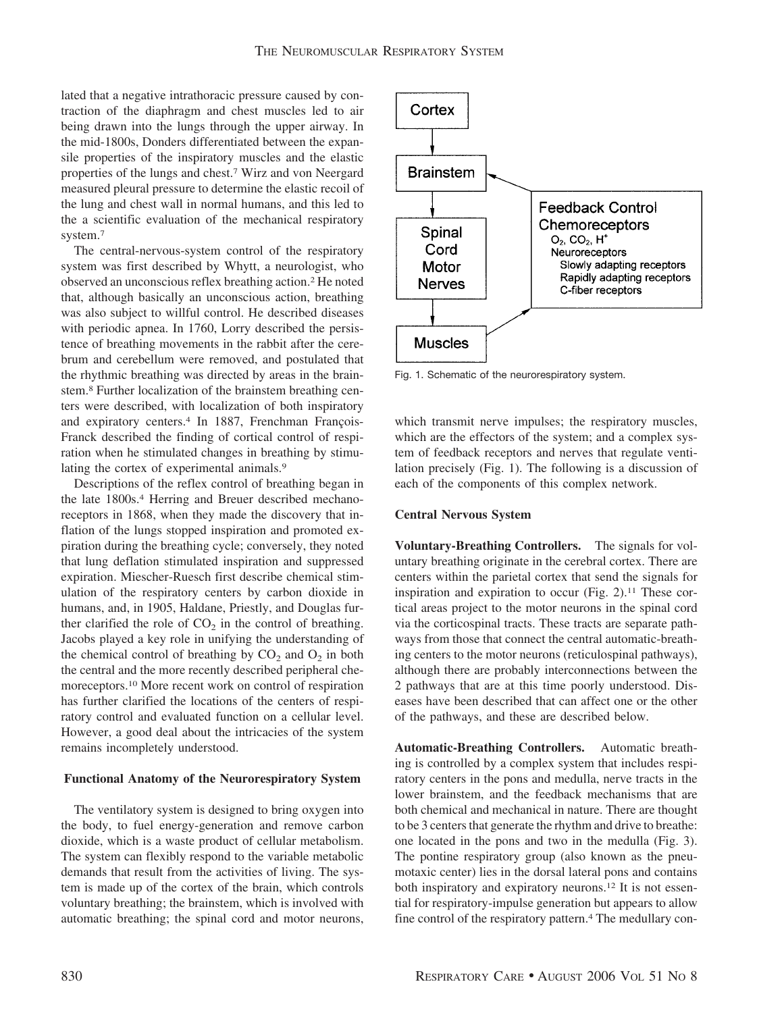lated that a negative intrathoracic pressure caused by contraction of the diaphragm and chest muscles led to air being drawn into the lungs through the upper airway. In the mid-1800s, Donders differentiated between the expansile properties of the inspiratory muscles and the elastic properties of the lungs and chest.7 Wirz and von Neergard measured pleural pressure to determine the elastic recoil of the lung and chest wall in normal humans, and this led to the a scientific evaluation of the mechanical respiratory system.7

The central-nervous-system control of the respiratory system was first described by Whytt, a neurologist, who observed an unconscious reflex breathing action.2 He noted that, although basically an unconscious action, breathing was also subject to willful control. He described diseases with periodic apnea. In 1760, Lorry described the persistence of breathing movements in the rabbit after the cerebrum and cerebellum were removed, and postulated that the rhythmic breathing was directed by areas in the brainstem.8 Further localization of the brainstem breathing centers were described, with localization of both inspiratory and expiratory centers.<sup>4</sup> In 1887, Frenchman François-Franck described the finding of cortical control of respiration when he stimulated changes in breathing by stimulating the cortex of experimental animals.<sup>9</sup>

Descriptions of the reflex control of breathing began in the late 1800s.<sup>4</sup> Herring and Breuer described mechanoreceptors in 1868, when they made the discovery that inflation of the lungs stopped inspiration and promoted expiration during the breathing cycle; conversely, they noted that lung deflation stimulated inspiration and suppressed expiration. Miescher-Ruesch first describe chemical stimulation of the respiratory centers by carbon dioxide in humans, and, in 1905, Haldane, Priestly, and Douglas further clarified the role of  $CO<sub>2</sub>$  in the control of breathing. Jacobs played a key role in unifying the understanding of the chemical control of breathing by  $CO_2$  and  $O_2$  in both the central and the more recently described peripheral chemoreceptors.10 More recent work on control of respiration has further clarified the locations of the centers of respiratory control and evaluated function on a cellular level. However, a good deal about the intricacies of the system remains incompletely understood.

## **Functional Anatomy of the Neurorespiratory System**

The ventilatory system is designed to bring oxygen into the body, to fuel energy-generation and remove carbon dioxide, which is a waste product of cellular metabolism. The system can flexibly respond to the variable metabolic demands that result from the activities of living. The system is made up of the cortex of the brain, which controls voluntary breathing; the brainstem, which is involved with automatic breathing; the spinal cord and motor neurons,



Fig. 1. Schematic of the neurorespiratory system.

which transmit nerve impulses; the respiratory muscles, which are the effectors of the system; and a complex system of feedback receptors and nerves that regulate ventilation precisely (Fig. 1). The following is a discussion of each of the components of this complex network.

## **Central Nervous System**

**Voluntary-Breathing Controllers.** The signals for voluntary breathing originate in the cerebral cortex. There are centers within the parietal cortex that send the signals for inspiration and expiration to occur (Fig.  $2$ ).<sup>11</sup> These cortical areas project to the motor neurons in the spinal cord via the corticospinal tracts. These tracts are separate pathways from those that connect the central automatic-breathing centers to the motor neurons (reticulospinal pathways), although there are probably interconnections between the 2 pathways that are at this time poorly understood. Diseases have been described that can affect one or the other of the pathways, and these are described below.

**Automatic-Breathing Controllers.** Automatic breathing is controlled by a complex system that includes respiratory centers in the pons and medulla, nerve tracts in the lower brainstem, and the feedback mechanisms that are both chemical and mechanical in nature. There are thought to be 3 centers that generate the rhythm and drive to breathe: one located in the pons and two in the medulla (Fig. 3). The pontine respiratory group (also known as the pneumotaxic center) lies in the dorsal lateral pons and contains both inspiratory and expiratory neurons.12 It is not essential for respiratory-impulse generation but appears to allow fine control of the respiratory pattern.<sup>4</sup> The medullary con-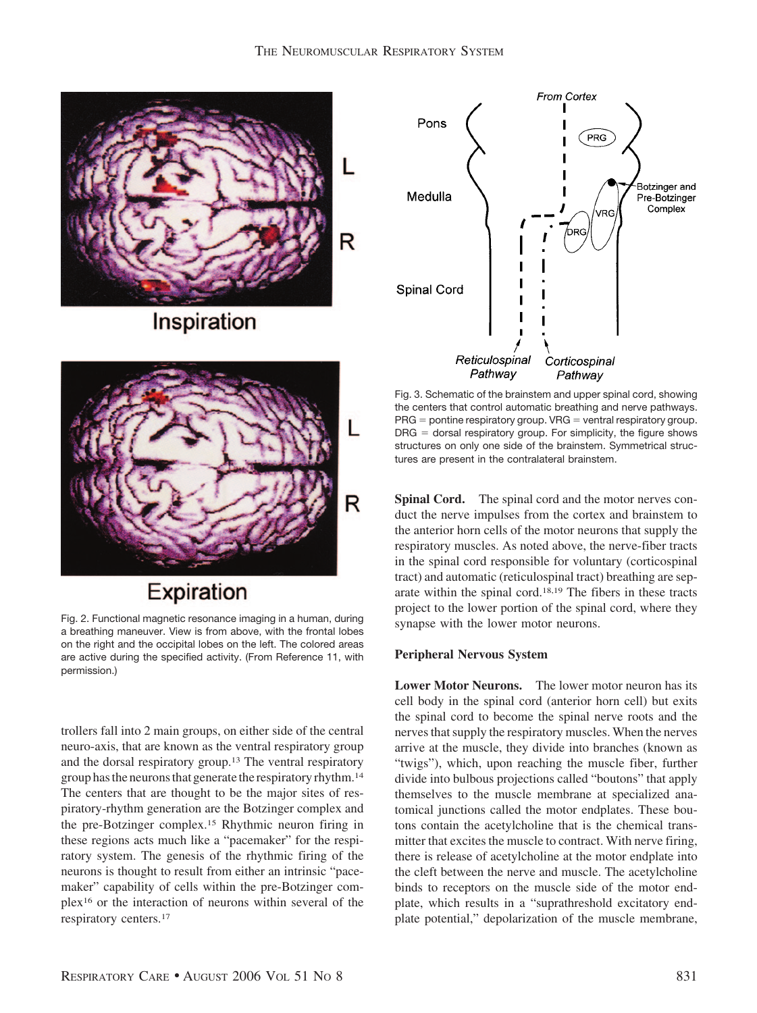

Inspiration



Expiration

Fig. 2. Functional magnetic resonance imaging in a human, during a breathing maneuver. View is from above, with the frontal lobes on the right and the occipital lobes on the left. The colored areas are active during the specified activity. (From Reference 11, with permission.)

trollers fall into 2 main groups, on either side of the central neuro-axis, that are known as the ventral respiratory group and the dorsal respiratory group.13 The ventral respiratory group has the neurons that generate the respiratory rhythm.<sup>14</sup> The centers that are thought to be the major sites of respiratory-rhythm generation are the Botzinger complex and the pre-Botzinger complex.15 Rhythmic neuron firing in these regions acts much like a "pacemaker" for the respiratory system. The genesis of the rhythmic firing of the neurons is thought to result from either an intrinsic "pacemaker" capability of cells within the pre-Botzinger complex16 or the interaction of neurons within several of the respiratory centers.17



Fig. 3. Schematic of the brainstem and upper spinal cord, showing the centers that control automatic breathing and nerve pathways.  $PRG =$  pontine respiratory group. VRG  $=$  ventral respiratory group.  $DRG =$  dorsal respiratory group. For simplicity, the figure shows structures on only one side of the brainstem. Symmetrical structures are present in the contralateral brainstem.

**Spinal Cord.** The spinal cord and the motor nerves conduct the nerve impulses from the cortex and brainstem to the anterior horn cells of the motor neurons that supply the respiratory muscles. As noted above, the nerve-fiber tracts in the spinal cord responsible for voluntary (corticospinal tract) and automatic (reticulospinal tract) breathing are separate within the spinal cord.18,19 The fibers in these tracts project to the lower portion of the spinal cord, where they synapse with the lower motor neurons.

# **Peripheral Nervous System**

**Lower Motor Neurons.** The lower motor neuron has its cell body in the spinal cord (anterior horn cell) but exits the spinal cord to become the spinal nerve roots and the nerves that supply the respiratory muscles. When the nerves arrive at the muscle, they divide into branches (known as "twigs"), which, upon reaching the muscle fiber, further divide into bulbous projections called "boutons" that apply themselves to the muscle membrane at specialized anatomical junctions called the motor endplates. These boutons contain the acetylcholine that is the chemical transmitter that excites the muscle to contract. With nerve firing, there is release of acetylcholine at the motor endplate into the cleft between the nerve and muscle. The acetylcholine binds to receptors on the muscle side of the motor endplate, which results in a "suprathreshold excitatory endplate potential," depolarization of the muscle membrane,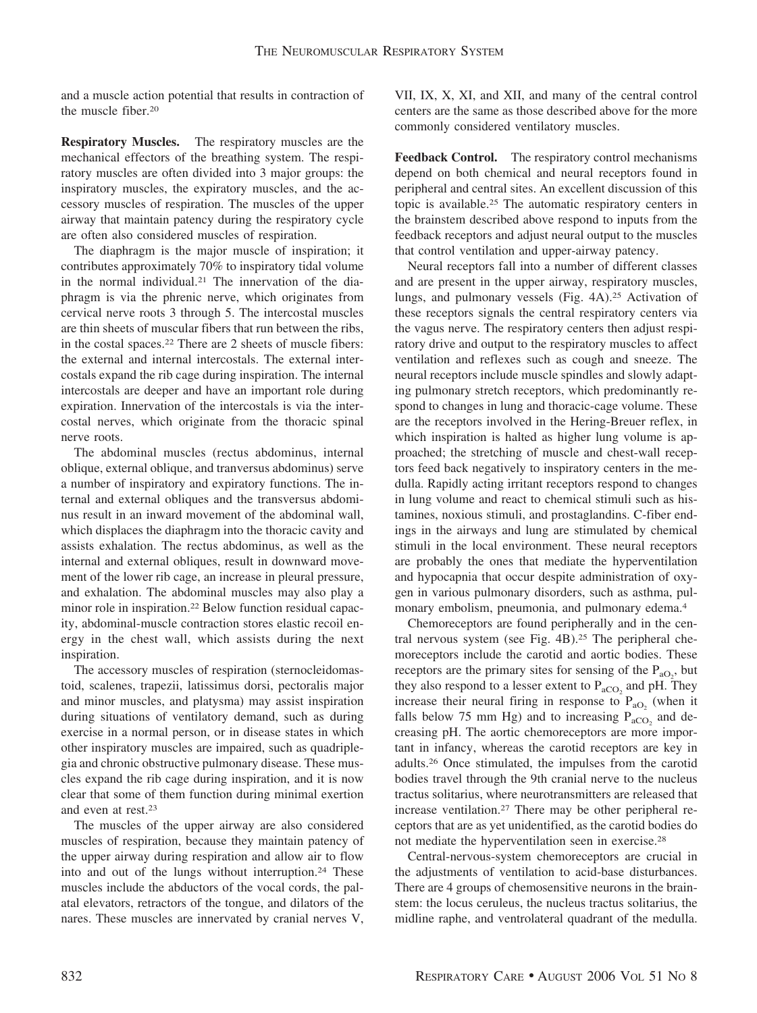and a muscle action potential that results in contraction of the muscle fiber.20

**Respiratory Muscles.** The respiratory muscles are the mechanical effectors of the breathing system. The respiratory muscles are often divided into 3 major groups: the inspiratory muscles, the expiratory muscles, and the accessory muscles of respiration. The muscles of the upper airway that maintain patency during the respiratory cycle are often also considered muscles of respiration.

The diaphragm is the major muscle of inspiration; it contributes approximately 70% to inspiratory tidal volume in the normal individual.21 The innervation of the diaphragm is via the phrenic nerve, which originates from cervical nerve roots 3 through 5. The intercostal muscles are thin sheets of muscular fibers that run between the ribs, in the costal spaces.22 There are 2 sheets of muscle fibers: the external and internal intercostals. The external intercostals expand the rib cage during inspiration. The internal intercostals are deeper and have an important role during expiration. Innervation of the intercostals is via the intercostal nerves, which originate from the thoracic spinal nerve roots.

The abdominal muscles (rectus abdominus, internal oblique, external oblique, and tranversus abdominus) serve a number of inspiratory and expiratory functions. The internal and external obliques and the transversus abdominus result in an inward movement of the abdominal wall, which displaces the diaphragm into the thoracic cavity and assists exhalation. The rectus abdominus, as well as the internal and external obliques, result in downward movement of the lower rib cage, an increase in pleural pressure, and exhalation. The abdominal muscles may also play a minor role in inspiration.22 Below function residual capacity, abdominal-muscle contraction stores elastic recoil energy in the chest wall, which assists during the next inspiration.

The accessory muscles of respiration (sternocleidomastoid, scalenes, trapezii, latissimus dorsi, pectoralis major and minor muscles, and platysma) may assist inspiration during situations of ventilatory demand, such as during exercise in a normal person, or in disease states in which other inspiratory muscles are impaired, such as quadriplegia and chronic obstructive pulmonary disease. These muscles expand the rib cage during inspiration, and it is now clear that some of them function during minimal exertion and even at rest.23

The muscles of the upper airway are also considered muscles of respiration, because they maintain patency of the upper airway during respiration and allow air to flow into and out of the lungs without interruption.<sup>24</sup> These muscles include the abductors of the vocal cords, the palatal elevators, retractors of the tongue, and dilators of the nares. These muscles are innervated by cranial nerves V,

VII, IX, X, XI, and XII, and many of the central control centers are the same as those described above for the more commonly considered ventilatory muscles.

**Feedback Control.** The respiratory control mechanisms depend on both chemical and neural receptors found in peripheral and central sites. An excellent discussion of this topic is available.25 The automatic respiratory centers in the brainstem described above respond to inputs from the feedback receptors and adjust neural output to the muscles that control ventilation and upper-airway patency.

Neural receptors fall into a number of different classes and are present in the upper airway, respiratory muscles, lungs, and pulmonary vessels (Fig. 4A).25 Activation of these receptors signals the central respiratory centers via the vagus nerve. The respiratory centers then adjust respiratory drive and output to the respiratory muscles to affect ventilation and reflexes such as cough and sneeze. The neural receptors include muscle spindles and slowly adapting pulmonary stretch receptors, which predominantly respond to changes in lung and thoracic-cage volume. These are the receptors involved in the Hering-Breuer reflex, in which inspiration is halted as higher lung volume is approached; the stretching of muscle and chest-wall receptors feed back negatively to inspiratory centers in the medulla. Rapidly acting irritant receptors respond to changes in lung volume and react to chemical stimuli such as histamines, noxious stimuli, and prostaglandins. C-fiber endings in the airways and lung are stimulated by chemical stimuli in the local environment. These neural receptors are probably the ones that mediate the hyperventilation and hypocapnia that occur despite administration of oxygen in various pulmonary disorders, such as asthma, pulmonary embolism, pneumonia, and pulmonary edema.4

Chemoreceptors are found peripherally and in the central nervous system (see Fig. 4B).25 The peripheral chemoreceptors include the carotid and aortic bodies. These receptors are the primary sites for sensing of the  $P_{aO_2}$ , but they also respond to a lesser extent to  $P_{aCO_2}$  and pH. They increase their neural firing in response to  $P_{aO_2}$  (when it falls below 75 mm Hg) and to increasing  $P_{aCO_2}$  and decreasing pH. The aortic chemoreceptors are more important in infancy, whereas the carotid receptors are key in adults.26 Once stimulated, the impulses from the carotid bodies travel through the 9th cranial nerve to the nucleus tractus solitarius, where neurotransmitters are released that increase ventilation.27 There may be other peripheral receptors that are as yet unidentified, as the carotid bodies do not mediate the hyperventilation seen in exercise.28

Central-nervous-system chemoreceptors are crucial in the adjustments of ventilation to acid-base disturbances. There are 4 groups of chemosensitive neurons in the brainstem: the locus ceruleus, the nucleus tractus solitarius, the midline raphe, and ventrolateral quadrant of the medulla.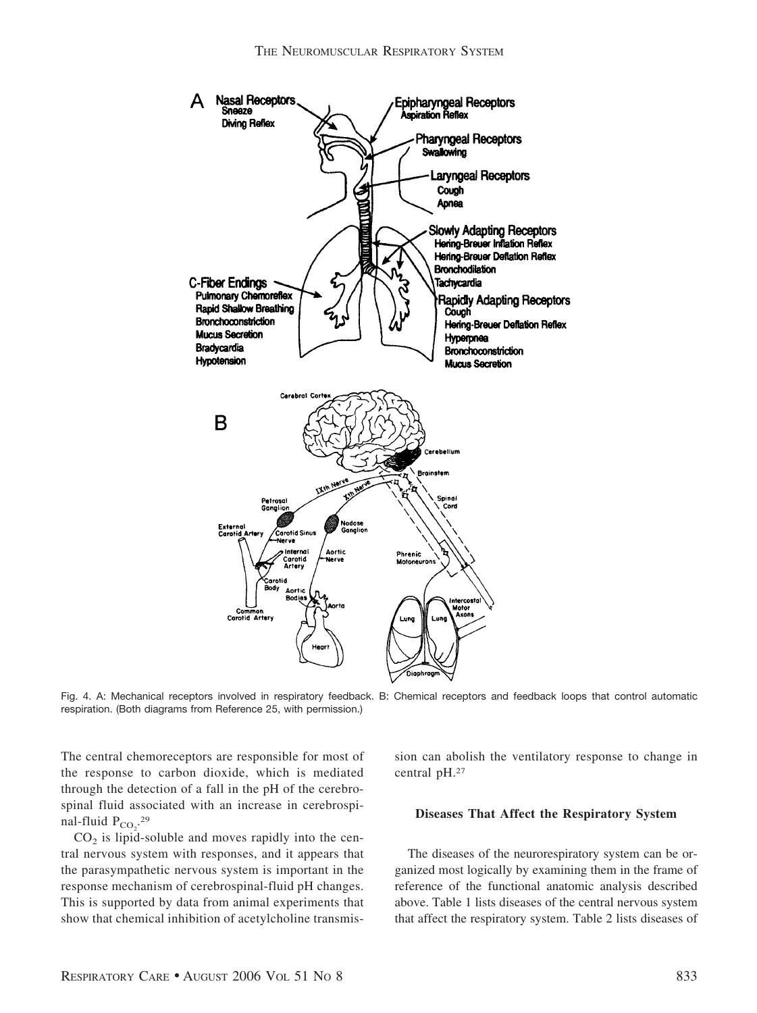

Fig. 4. A: Mechanical receptors involved in respiratory feedback. B: Chemical receptors and feedback loops that control automatic respiration. (Both diagrams from Reference 25, with permission.)

The central chemoreceptors are responsible for most of the response to carbon dioxide, which is mediated through the detection of a fall in the pH of the cerebrospinal fluid associated with an increase in cerebrospinal-fluid  $P_{CO_2}$ <sup>29</sup>

 $CO<sub>2</sub>$  is lipid-soluble and moves rapidly into the central nervous system with responses, and it appears that the parasympathetic nervous system is important in the response mechanism of cerebrospinal-fluid pH changes. This is supported by data from animal experiments that show that chemical inhibition of acetylcholine transmission can abolish the ventilatory response to change in central pH.27

## **Diseases That Affect the Respiratory System**

The diseases of the neurorespiratory system can be organized most logically by examining them in the frame of reference of the functional anatomic analysis described above. Table 1 lists diseases of the central nervous system that affect the respiratory system. Table 2 lists diseases of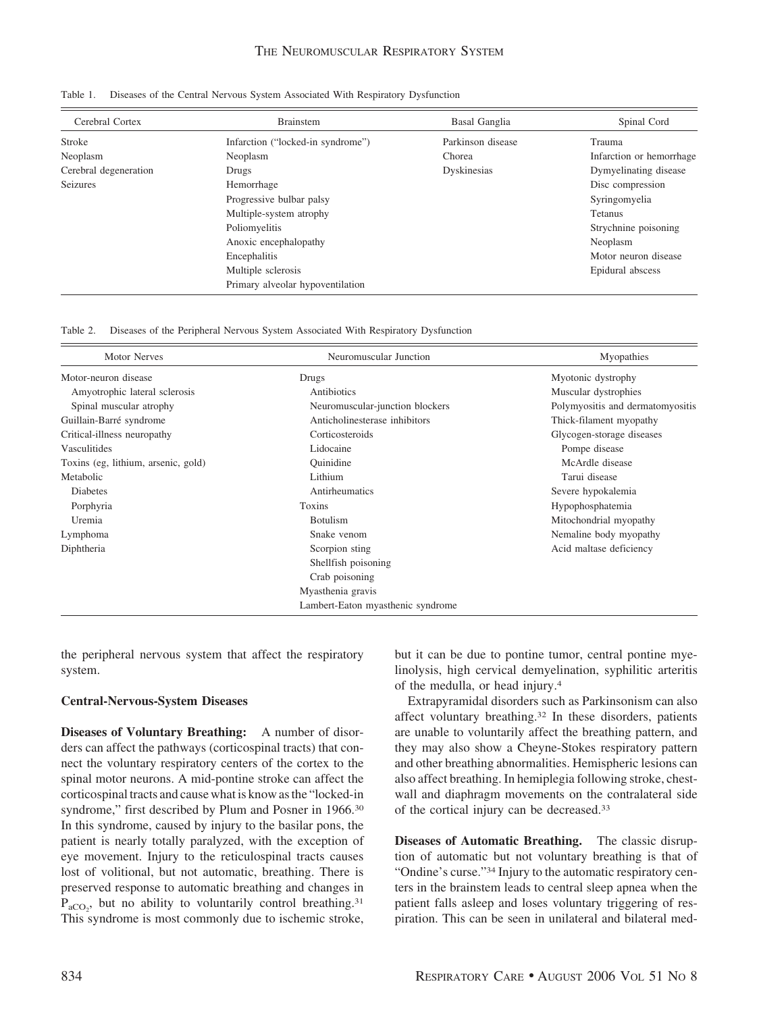| Cerebral Cortex       | Brainstem                         | Basal Ganglia     | Spinal Cord              |
|-----------------------|-----------------------------------|-------------------|--------------------------|
| <b>Stroke</b>         | Infarction ("locked-in syndrome") | Parkinson disease | Trauma                   |
| Neoplasm              | Neoplasm                          | Chorea            | Infarction or hemorrhage |
| Cerebral degeneration | Drugs                             | Dyskinesias       | Dymyelinating disease    |
| <b>Seizures</b>       | Hemorrhage                        |                   | Disc compression         |
|                       | Progressive bulbar palsy          |                   | Syringomyelia            |
|                       | Multiple-system atrophy           |                   | Tetanus                  |
|                       | Poliomyelitis                     |                   | Strychnine poisoning     |
|                       | Anoxic encephalopathy             |                   | Neoplasm                 |
|                       | Encephalitis                      |                   | Motor neuron disease     |
|                       | Multiple sclerosis                |                   | Epidural abscess         |
|                       | Primary alveolar hypoventilation  |                   |                          |

|  |  | Table 1. Diseases of the Central Nervous System Associated With Respiratory Dysfunction |
|--|--|-----------------------------------------------------------------------------------------|
|  |  |                                                                                         |

Table 2. Diseases of the Peripheral Nervous System Associated With Respiratory Dysfunction

| <b>Motor Nerves</b>                 | Neuromuscular Junction<br>Myopathies |                                  |  |
|-------------------------------------|--------------------------------------|----------------------------------|--|
| Motor-neuron disease                | Drugs                                | Myotonic dystrophy               |  |
| Amyotrophic lateral sclerosis       | Antibiotics                          | Muscular dystrophies             |  |
| Spinal muscular atrophy             | Neuromuscular-junction blockers      | Polymyositis and dermatomyositis |  |
| Guillain-Barré syndrome             | Anticholinesterase inhibitors        | Thick-filament myopathy          |  |
| Critical-illness neuropathy         | Corticosteroids                      | Glycogen-storage diseases        |  |
| Vasculitides                        | Lidocaine                            | Pompe disease                    |  |
| Toxins (eg, lithium, arsenic, gold) | Ouinidine                            | McArdle disease                  |  |
| Metabolic                           | Lithium                              | Tarui disease                    |  |
| <b>Diabetes</b>                     | Antirheumatics                       | Severe hypokalemia               |  |
| Porphyria                           | Toxins                               | Hypophosphatemia                 |  |
| Uremia                              | <b>Botulism</b>                      | Mitochondrial myopathy           |  |
| Lymphoma                            | Snake venom                          | Nemaline body myopathy           |  |
| Diphtheria                          | Scorpion sting                       | Acid maltase deficiency          |  |
|                                     | Shellfish poisoning                  |                                  |  |
|                                     | Crab poisoning                       |                                  |  |
|                                     | Myasthenia gravis                    |                                  |  |
|                                     | Lambert-Eaton myasthenic syndrome    |                                  |  |

the peripheral nervous system that affect the respiratory system.

## **Central-Nervous-System Diseases**

**Diseases of Voluntary Breathing:** A number of disorders can affect the pathways (corticospinal tracts) that connect the voluntary respiratory centers of the cortex to the spinal motor neurons. A mid-pontine stroke can affect the corticospinal tracts and cause what is know as the "locked-in syndrome," first described by Plum and Posner in 1966.<sup>30</sup> In this syndrome, caused by injury to the basilar pons, the patient is nearly totally paralyzed, with the exception of eye movement. Injury to the reticulospinal tracts causes lost of volitional, but not automatic, breathing. There is preserved response to automatic breathing and changes in  $P_{aCO_2}$ , but no ability to voluntarily control breathing.<sup>31</sup> This syndrome is most commonly due to ischemic stroke, but it can be due to pontine tumor, central pontine myelinolysis, high cervical demyelination, syphilitic arteritis of the medulla, or head injury.4

Extrapyramidal disorders such as Parkinsonism can also affect voluntary breathing.32 In these disorders, patients are unable to voluntarily affect the breathing pattern, and they may also show a Cheyne-Stokes respiratory pattern and other breathing abnormalities. Hemispheric lesions can also affect breathing. In hemiplegia following stroke, chestwall and diaphragm movements on the contralateral side of the cortical injury can be decreased.33

**Diseases of Automatic Breathing.** The classic disruption of automatic but not voluntary breathing is that of "Ondine's curse."<sup>34</sup> Injury to the automatic respiratory centers in the brainstem leads to central sleep apnea when the patient falls asleep and loses voluntary triggering of respiration. This can be seen in unilateral and bilateral med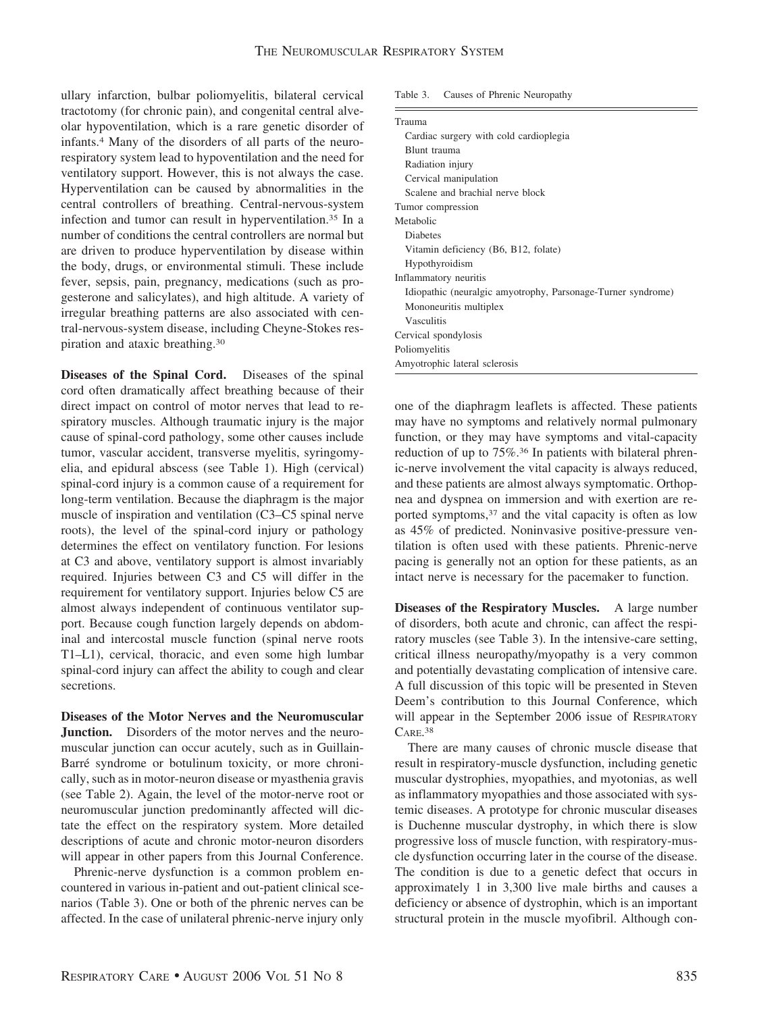ullary infarction, bulbar poliomyelitis, bilateral cervical tractotomy (for chronic pain), and congenital central alveolar hypoventilation, which is a rare genetic disorder of infants.4 Many of the disorders of all parts of the neurorespiratory system lead to hypoventilation and the need for ventilatory support. However, this is not always the case. Hyperventilation can be caused by abnormalities in the central controllers of breathing. Central-nervous-system infection and tumor can result in hyperventilation.35 In a number of conditions the central controllers are normal but are driven to produce hyperventilation by disease within the body, drugs, or environmental stimuli. These include fever, sepsis, pain, pregnancy, medications (such as progesterone and salicylates), and high altitude. A variety of irregular breathing patterns are also associated with central-nervous-system disease, including Cheyne-Stokes respiration and ataxic breathing.30

**Diseases of the Spinal Cord.** Diseases of the spinal cord often dramatically affect breathing because of their direct impact on control of motor nerves that lead to respiratory muscles. Although traumatic injury is the major cause of spinal-cord pathology, some other causes include tumor, vascular accident, transverse myelitis, syringomyelia, and epidural abscess (see Table 1). High (cervical) spinal-cord injury is a common cause of a requirement for long-term ventilation. Because the diaphragm is the major muscle of inspiration and ventilation (C3–C5 spinal nerve roots), the level of the spinal-cord injury or pathology determines the effect on ventilatory function. For lesions at C3 and above, ventilatory support is almost invariably required. Injuries between C3 and C5 will differ in the requirement for ventilatory support. Injuries below C5 are almost always independent of continuous ventilator support. Because cough function largely depends on abdominal and intercostal muscle function (spinal nerve roots T1–L1), cervical, thoracic, and even some high lumbar spinal-cord injury can affect the ability to cough and clear secretions.

**Diseases of the Motor Nerves and the Neuromuscular Junction.** Disorders of the motor nerves and the neuromuscular junction can occur acutely, such as in Guillain-Barré syndrome or botulinum toxicity, or more chronically, such as in motor-neuron disease or myasthenia gravis (see Table 2). Again, the level of the motor-nerve root or neuromuscular junction predominantly affected will dictate the effect on the respiratory system. More detailed descriptions of acute and chronic motor-neuron disorders will appear in other papers from this Journal Conference.

Phrenic-nerve dysfunction is a common problem encountered in various in-patient and out-patient clinical scenarios (Table 3). One or both of the phrenic nerves can be affected. In the case of unilateral phrenic-nerve injury only

| Table 3. |  | Causes of Phrenic Neuropathy |  |
|----------|--|------------------------------|--|
|          |  |                              |  |

| Trauma                                                       |
|--------------------------------------------------------------|
| Cardiac surgery with cold cardioplegia                       |
| Blunt trauma                                                 |
| Radiation injury                                             |
| Cervical manipulation                                        |
| Scalene and brachial nerve block                             |
| Tumor compression                                            |
| Metabolic                                                    |
| <b>Diabetes</b>                                              |
| Vitamin deficiency (B6, B12, folate)                         |
| Hypothyroidism                                               |
| Inflammatory neuritis                                        |
| Idiopathic (neuralgic amyotrophy, Parsonage-Turner syndrome) |
| Mononeuritis multiplex                                       |
| Vasculitis                                                   |
| Cervical spondylosis                                         |
| Poliomyelitis                                                |
| Amyotrophic lateral sclerosis                                |

one of the diaphragm leaflets is affected. These patients may have no symptoms and relatively normal pulmonary function, or they may have symptoms and vital-capacity reduction of up to 75%.<sup>36</sup> In patients with bilateral phrenic-nerve involvement the vital capacity is always reduced, and these patients are almost always symptomatic. Orthopnea and dyspnea on immersion and with exertion are reported symptoms,37 and the vital capacity is often as low as 45% of predicted. Noninvasive positive-pressure ventilation is often used with these patients. Phrenic-nerve pacing is generally not an option for these patients, as an intact nerve is necessary for the pacemaker to function.

**Diseases of the Respiratory Muscles.** A large number of disorders, both acute and chronic, can affect the respiratory muscles (see Table 3). In the intensive-care setting, critical illness neuropathy/myopathy is a very common and potentially devastating complication of intensive care. A full discussion of this topic will be presented in Steven Deem's contribution to this Journal Conference, which will appear in the September 2006 issue of RESPIRATORY CARE. 38

There are many causes of chronic muscle disease that result in respiratory-muscle dysfunction, including genetic muscular dystrophies, myopathies, and myotonias, as well as inflammatory myopathies and those associated with systemic diseases. A prototype for chronic muscular diseases is Duchenne muscular dystrophy, in which there is slow progressive loss of muscle function, with respiratory-muscle dysfunction occurring later in the course of the disease. The condition is due to a genetic defect that occurs in approximately 1 in 3,300 live male births and causes a deficiency or absence of dystrophin, which is an important structural protein in the muscle myofibril. Although con-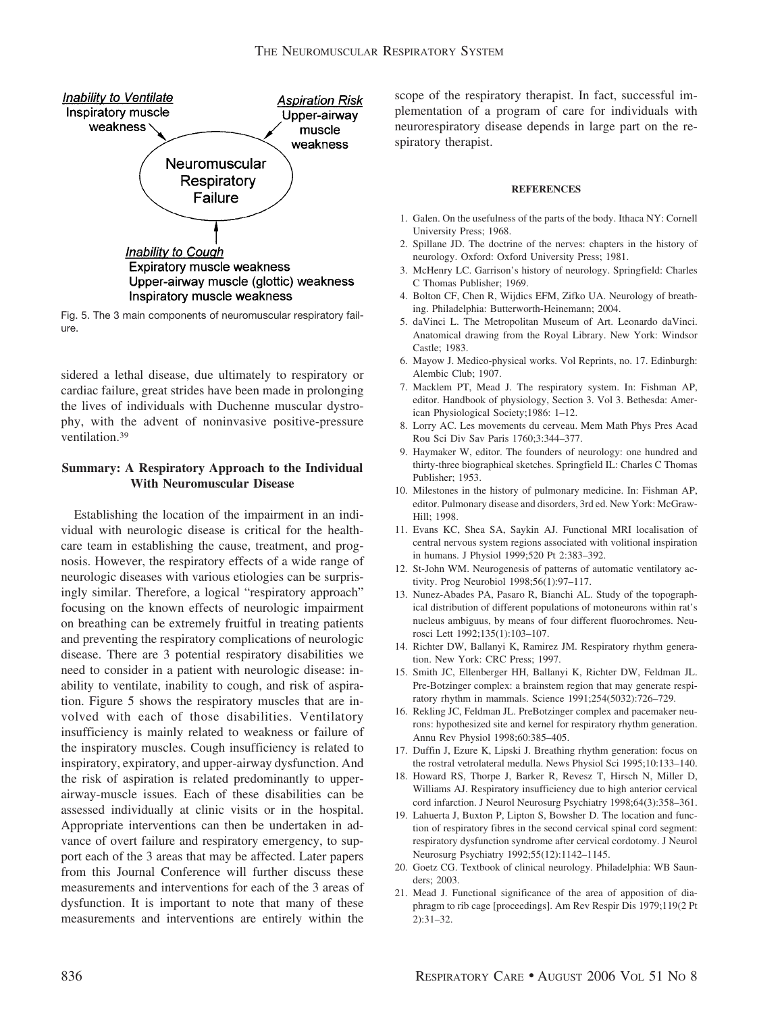

Fig. 5. The 3 main components of neuromuscular respiratory failure.

sidered a lethal disease, due ultimately to respiratory or cardiac failure, great strides have been made in prolonging the lives of individuals with Duchenne muscular dystrophy, with the advent of noninvasive positive-pressure ventilation.39

# **Summary: A Respiratory Approach to the Individual With Neuromuscular Disease**

Establishing the location of the impairment in an individual with neurologic disease is critical for the healthcare team in establishing the cause, treatment, and prognosis. However, the respiratory effects of a wide range of neurologic diseases with various etiologies can be surprisingly similar. Therefore, a logical "respiratory approach" focusing on the known effects of neurologic impairment on breathing can be extremely fruitful in treating patients and preventing the respiratory complications of neurologic disease. There are 3 potential respiratory disabilities we need to consider in a patient with neurologic disease: inability to ventilate, inability to cough, and risk of aspiration. Figure 5 shows the respiratory muscles that are involved with each of those disabilities. Ventilatory insufficiency is mainly related to weakness or failure of the inspiratory muscles. Cough insufficiency is related to inspiratory, expiratory, and upper-airway dysfunction. And the risk of aspiration is related predominantly to upperairway-muscle issues. Each of these disabilities can be assessed individually at clinic visits or in the hospital. Appropriate interventions can then be undertaken in advance of overt failure and respiratory emergency, to support each of the 3 areas that may be affected. Later papers from this Journal Conference will further discuss these measurements and interventions for each of the 3 areas of dysfunction. It is important to note that many of these measurements and interventions are entirely within the scope of the respiratory therapist. In fact, successful implementation of a program of care for individuals with neurorespiratory disease depends in large part on the respiratory therapist.

#### **REFERENCES**

- 1. Galen. On the usefulness of the parts of the body. Ithaca NY: Cornell University Press; 1968.
- 2. Spillane JD. The doctrine of the nerves: chapters in the history of neurology. Oxford: Oxford University Press; 1981.
- 3. McHenry LC. Garrison's history of neurology. Springfield: Charles C Thomas Publisher; 1969.
- 4. Bolton CF, Chen R, Wijdics EFM, Zifko UA. Neurology of breathing. Philadelphia: Butterworth-Heinemann; 2004.
- 5. daVinci L. The Metropolitan Museum of Art. Leonardo daVinci. Anatomical drawing from the Royal Library. New York: Windsor Castle; 1983.
- 6. Mayow J. Medico-physical works. Vol Reprints, no. 17. Edinburgh: Alembic Club; 1907.
- 7. Macklem PT, Mead J. The respiratory system. In: Fishman AP, editor. Handbook of physiology, Section 3. Vol 3. Bethesda: American Physiological Society;1986: 1–12.
- 8. Lorry AC. Les movements du cerveau. Mem Math Phys Pres Acad Rou Sci Div Sav Paris 1760;3:344–377.
- 9. Haymaker W, editor. The founders of neurology: one hundred and thirty-three biographical sketches. Springfield IL: Charles C Thomas Publisher; 1953.
- 10. Milestones in the history of pulmonary medicine. In: Fishman AP, editor. Pulmonary disease and disorders, 3rd ed. New York: McGraw-Hill; 1998.
- 11. Evans KC, Shea SA, Saykin AJ. Functional MRI localisation of central nervous system regions associated with volitional inspiration in humans. J Physiol 1999;520 Pt 2:383–392.
- 12. St-John WM. Neurogenesis of patterns of automatic ventilatory activity. Prog Neurobiol 1998;56(1):97–117.
- 13. Nunez-Abades PA, Pasaro R, Bianchi AL. Study of the topographical distribution of different populations of motoneurons within rat's nucleus ambiguus, by means of four different fluorochromes. Neurosci Lett 1992;135(1):103–107.
- 14. Richter DW, Ballanyi K, Ramirez JM. Respiratory rhythm generation. New York: CRC Press; 1997.
- 15. Smith JC, Ellenberger HH, Ballanyi K, Richter DW, Feldman JL. Pre-Botzinger complex: a brainstem region that may generate respiratory rhythm in mammals. Science 1991;254(5032):726–729.
- 16. Rekling JC, Feldman JL. PreBotzinger complex and pacemaker neurons: hypothesized site and kernel for respiratory rhythm generation. Annu Rev Physiol 1998;60:385–405.
- 17. Duffin J, Ezure K, Lipski J. Breathing rhythm generation: focus on the rostral vetrolateral medulla. News Physiol Sci 1995;10:133–140.
- 18. Howard RS, Thorpe J, Barker R, Revesz T, Hirsch N, Miller D, Williams AJ. Respiratory insufficiency due to high anterior cervical cord infarction. J Neurol Neurosurg Psychiatry 1998;64(3):358–361.
- 19. Lahuerta J, Buxton P, Lipton S, Bowsher D. The location and function of respiratory fibres in the second cervical spinal cord segment: respiratory dysfunction syndrome after cervical cordotomy. J Neurol Neurosurg Psychiatry 1992;55(12):1142–1145.
- 20. Goetz CG. Textbook of clinical neurology. Philadelphia: WB Saunders; 2003.
- 21. Mead J. Functional significance of the area of apposition of diaphragm to rib cage [proceedings]. Am Rev Respir Dis 1979;119(2 Pt 2):31–32.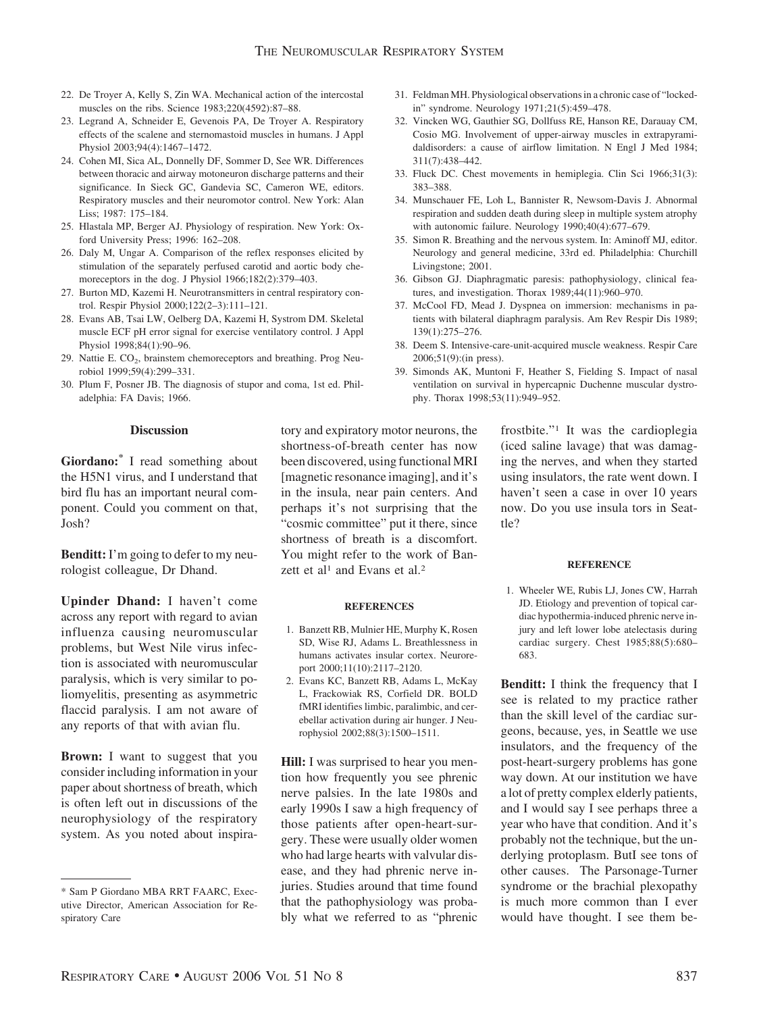- 22. De Troyer A, Kelly S, Zin WA. Mechanical action of the intercostal muscles on the ribs. Science 1983;220(4592):87–88.
- 23. Legrand A, Schneider E, Gevenois PA, De Troyer A. Respiratory effects of the scalene and sternomastoid muscles in humans. J Appl Physiol 2003;94(4):1467–1472.
- 24. Cohen MI, Sica AL, Donnelly DF, Sommer D, See WR. Differences between thoracic and airway motoneuron discharge patterns and their significance. In Sieck GC, Gandevia SC, Cameron WE, editors. Respiratory muscles and their neuromotor control. New York: Alan Liss; 1987: 175–184.
- 25. Hlastala MP, Berger AJ. Physiology of respiration. New York: Oxford University Press; 1996: 162–208.
- 26. Daly M, Ungar A. Comparison of the reflex responses elicited by stimulation of the separately perfused carotid and aortic body chemoreceptors in the dog. J Physiol 1966;182(2):379–403.
- 27. Burton MD, Kazemi H. Neurotransmitters in central respiratory control. Respir Physiol 2000;122(2–3):111–121.
- 28. Evans AB, Tsai LW, Oelberg DA, Kazemi H, Systrom DM. Skeletal muscle ECF pH error signal for exercise ventilatory control. J Appl Physiol 1998;84(1):90–96.
- 29. Nattie E.  $CO<sub>2</sub>$ , brainstem chemoreceptors and breathing. Prog Neurobiol 1999;59(4):299–331.
- 30. Plum F, Posner JB. The diagnosis of stupor and coma, 1st ed. Philadelphia: FA Davis; 1966.

### **Discussion**

**Giordano:\*** I read something about the H5N1 virus, and I understand that bird flu has an important neural component. Could you comment on that, Josh?

**Benditt:** I'm going to defer to my neurologist colleague, Dr Dhand.

**Upinder Dhand:** I haven't come across any report with regard to avian influenza causing neuromuscular problems, but West Nile virus infection is associated with neuromuscular paralysis, which is very similar to poliomyelitis, presenting as asymmetric flaccid paralysis. I am not aware of any reports of that with avian flu.

**Brown:** I want to suggest that you consider including information in your paper about shortness of breath, which is often left out in discussions of the neurophysiology of the respiratory system. As you noted about inspiratory and expiratory motor neurons, the shortness-of-breath center has now been discovered, using functional MRI [magnetic resonance imaging], and it's in the insula, near pain centers. And perhaps it's not surprising that the "cosmic committee" put it there, since shortness of breath is a discomfort. You might refer to the work of Banzett et al<sup>1</sup> and Evans et al.<sup>2</sup>

#### **REFERENCES**

- 1. Banzett RB, Mulnier HE, Murphy K, Rosen SD, Wise RJ, Adams L. Breathlessness in humans activates insular cortex. Neuroreport 2000;11(10):2117–2120.
- 2. Evans KC, Banzett RB, Adams L, McKay L, Frackowiak RS, Corfield DR. BOLD fMRI identifies limbic, paralimbic, and cerebellar activation during air hunger. J Neurophysiol 2002;88(3):1500–1511.

**Hill:** I was surprised to hear you mention how frequently you see phrenic nerve palsies. In the late 1980s and early 1990s I saw a high frequency of those patients after open-heart-surgery. These were usually older women who had large hearts with valvular disease, and they had phrenic nerve injuries. Studies around that time found that the pathophysiology was probably what we referred to as "phrenic

- 31. Feldman MH. Physiological observations in a chronic case of "lockedin" syndrome. Neurology 1971;21(5):459–478.
- 32. Vincken WG, Gauthier SG, Dollfuss RE, Hanson RE, Darauay CM, Cosio MG. Involvement of upper-airway muscles in extrapyramidaldisorders: a cause of airflow limitation. N Engl J Med 1984; 311(7):438–442.
- 33. Fluck DC. Chest movements in hemiplegia. Clin Sci 1966;31(3): 383–388.
- 34. Munschauer FE, Loh L, Bannister R, Newsom-Davis J. Abnormal respiration and sudden death during sleep in multiple system atrophy with autonomic failure. Neurology 1990;40(4):677–679.
- 35. Simon R. Breathing and the nervous system. In: Aminoff MJ, editor. Neurology and general medicine, 33rd ed. Philadelphia: Churchill Livingstone; 2001.
- 36. Gibson GJ. Diaphragmatic paresis: pathophysiology, clinical features, and investigation. Thorax 1989;44(11):960–970.
- 37. McCool FD, Mead J. Dyspnea on immersion: mechanisms in patients with bilateral diaphragm paralysis. Am Rev Respir Dis 1989; 139(1):275–276.
- 38. Deem S. Intensive-care-unit-acquired muscle weakness. Respir Care 2006;51(9):(in press).
- 39. Simonds AK, Muntoni F, Heather S, Fielding S. Impact of nasal ventilation on survival in hypercapnic Duchenne muscular dystrophy. Thorax 1998;53(11):949–952.

frostbite."1 It was the cardioplegia (iced saline lavage) that was damaging the nerves, and when they started using insulators, the rate went down. I haven't seen a case in over 10 years now. Do you use insula tors in Seattle?

## **REFERENCE**

1. Wheeler WE, Rubis LJ, Jones CW, Harrah JD. Etiology and prevention of topical cardiac hypothermia-induced phrenic nerve injury and left lower lobe atelectasis during cardiac surgery. Chest 1985;88(5):680– 683.

**Benditt:** I think the frequency that I see is related to my practice rather than the skill level of the cardiac surgeons, because, yes, in Seattle we use insulators, and the frequency of the post-heart-surgery problems has gone way down. At our institution we have a lot of pretty complex elderly patients, and I would say I see perhaps three a year who have that condition. And it's probably not the technique, but the underlying protoplasm. ButI see tons of other causes. The Parsonage-Turner syndrome or the brachial plexopathy is much more common than I ever would have thought. I see them be-

<sup>\*</sup> Sam P Giordano MBA RRT FAARC, Executive Director, American Association for Respiratory Care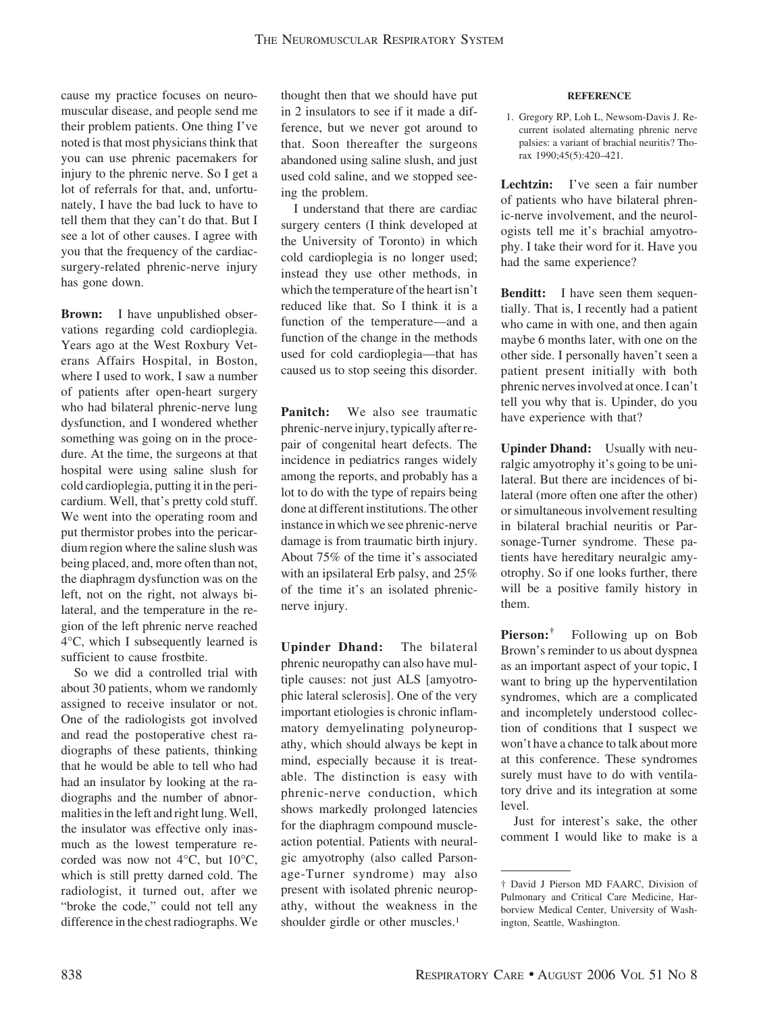cause my practice focuses on neuromuscular disease, and people send me their problem patients. One thing I've noted is that most physicians think that you can use phrenic pacemakers for injury to the phrenic nerve. So I get a lot of referrals for that, and, unfortunately, I have the bad luck to have to tell them that they can't do that. But I see a lot of other causes. I agree with you that the frequency of the cardiacsurgery-related phrenic-nerve injury has gone down.

**Brown:** I have unpublished observations regarding cold cardioplegia. Years ago at the West Roxbury Veterans Affairs Hospital, in Boston, where I used to work, I saw a number of patients after open-heart surgery who had bilateral phrenic-nerve lung dysfunction, and I wondered whether something was going on in the procedure. At the time, the surgeons at that hospital were using saline slush for cold cardioplegia, putting it in the pericardium. Well, that's pretty cold stuff. We went into the operating room and put thermistor probes into the pericardium region where the saline slush was being placed, and, more often than not, the diaphragm dysfunction was on the left, not on the right, not always bilateral, and the temperature in the region of the left phrenic nerve reached 4°C, which I subsequently learned is sufficient to cause frostbite.

So we did a controlled trial with about 30 patients, whom we randomly assigned to receive insulator or not. One of the radiologists got involved and read the postoperative chest radiographs of these patients, thinking that he would be able to tell who had had an insulator by looking at the radiographs and the number of abnormalities in the left and right lung. Well, the insulator was effective only inasmuch as the lowest temperature recorded was now not 4°C, but 10°C, which is still pretty darned cold. The radiologist, it turned out, after we "broke the code," could not tell any difference in the chest radiographs.We

thought then that we should have put in 2 insulators to see if it made a difference, but we never got around to that. Soon thereafter the surgeons abandoned using saline slush, and just used cold saline, and we stopped seeing the problem.

I understand that there are cardiac surgery centers (I think developed at the University of Toronto) in which cold cardioplegia is no longer used; instead they use other methods, in which the temperature of the heart isn't reduced like that. So I think it is a function of the temperature—and a function of the change in the methods used for cold cardioplegia—that has caused us to stop seeing this disorder.

**Panitch:** We also see traumatic phrenic-nerve injury, typically after repair of congenital heart defects. The incidence in pediatrics ranges widely among the reports, and probably has a lot to do with the type of repairs being done at different institutions. The other instance in which we see phrenic-nerve damage is from traumatic birth injury. About 75% of the time it's associated with an ipsilateral Erb palsy, and 25% of the time it's an isolated phrenicnerve injury.

**Upinder Dhand:** The bilateral phrenic neuropathy can also have multiple causes: not just ALS [amyotrophic lateral sclerosis]. One of the very important etiologies is chronic inflammatory demyelinating polyneuropathy, which should always be kept in mind, especially because it is treatable. The distinction is easy with phrenic-nerve conduction, which shows markedly prolonged latencies for the diaphragm compound muscleaction potential. Patients with neuralgic amyotrophy (also called Parsonage-Turner syndrome) may also present with isolated phrenic neuropathy, without the weakness in the shoulder girdle or other muscles.<sup>1</sup>

#### **REFERENCE**

1. Gregory RP, Loh L, Newsom-Davis J. Recurrent isolated alternating phrenic nerve palsies: a variant of brachial neuritis? Thorax 1990;45(5):420–421.

Lechtzin: I've seen a fair number of patients who have bilateral phrenic-nerve involvement, and the neurologists tell me it's brachial amyotrophy. I take their word for it. Have you had the same experience?

**Benditt:** I have seen them sequentially. That is, I recently had a patient who came in with one, and then again maybe 6 months later, with one on the other side. I personally haven't seen a patient present initially with both phrenic nerves involved at once. I can't tell you why that is. Upinder, do you have experience with that?

**Upinder Dhand:** Usually with neuralgic amyotrophy it's going to be unilateral. But there are incidences of bilateral (more often one after the other) or simultaneous involvement resulting in bilateral brachial neuritis or Parsonage-Turner syndrome. These patients have hereditary neuralgic amyotrophy. So if one looks further, there will be a positive family history in them.

**Pierson:†** Following up on Bob Brown's reminder to us about dyspnea as an important aspect of your topic, I want to bring up the hyperventilation syndromes, which are a complicated and incompletely understood collection of conditions that I suspect we won't have a chance to talk about more at this conference. These syndromes surely must have to do with ventilatory drive and its integration at some level.

Just for interest's sake, the other comment I would like to make is a

<sup>†</sup> David J Pierson MD FAARC, Division of Pulmonary and Critical Care Medicine, Harborview Medical Center, University of Washington, Seattle, Washington.